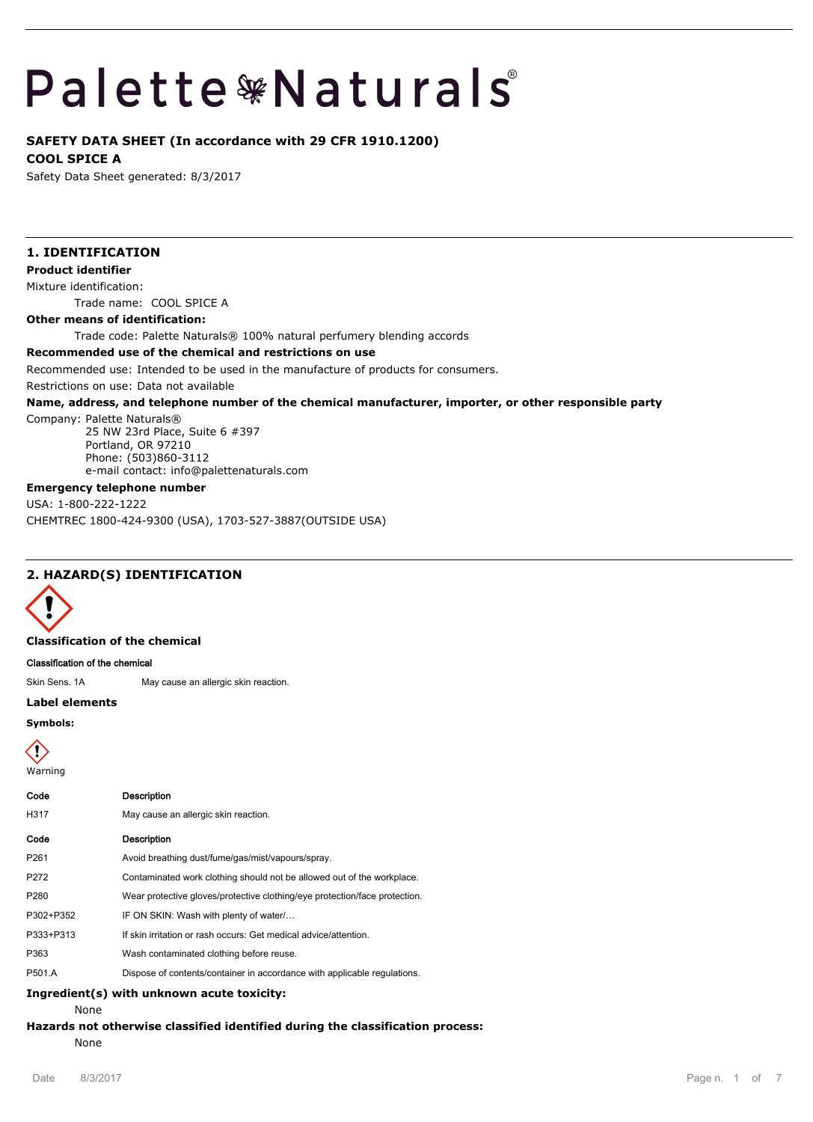# **Palette \*Naturals**

# **SAFETY DATA SHEET (In accordance with 29 CFR 1910.1200)**

**COOL SPICE A**

Safety Data Sheet generated: 8/3/2017

# **1. IDENTIFICATION**

**Product identifier**

Mixture identification:

Trade name: COOL SPICE A

## **Other means of identification:**

Trade code: Palette Naturals® 100% natural perfumery blending accords

## **Recommended use of the chemical and restrictions on use**

Recommended use: Intended to be used in the manufacture of products for consumers.

Restrictions on use: Data not available

## **Name, address, and telephone number of the chemical manufacturer, importer, or other responsible party**

Company: Palette Naturals®

25 NW 23rd Place, Suite 6 #397 Portland, OR 97210 Phone: (503)860-3112 e-mail contact: info@palettenaturals.com

## **Emergency telephone number**

USA: 1-800-222-1222 CHEMTREC 1800-424-9300 (USA), 1703-527-3887(OUTSIDE USA)

# **2. HAZARD(S) IDENTIFICATION**



#### **Classification of the chemical**

**Classification of the chemical**

Skin Sens. 1A May cause an allergic skin reaction.

#### **Label elements**

**Symbols:**

Warning

| Code | <b>Description</b>                   |
|------|--------------------------------------|
| H317 | May cause an allergic skin reaction. |
| Code | <b>Description</b>                   |

| P261             | Avoid breathing dust/fume/gas/mist/vapours/spray.                          |
|------------------|----------------------------------------------------------------------------|
| P272             | Contaminated work clothing should not be allowed out of the workplace.     |
| P <sub>280</sub> | Wear protective gloves/protective clothing/eye protection/face protection. |
| P302+P352        | IF ON SKIN: Wash with plenty of water                                      |
| P333+P313        | If skin irritation or rash occurs: Get medical advice/attention.           |
| P363             | Wash contaminated clothing before reuse.                                   |
| P501.A           | Dispose of contents/container in accordance with applicable regulations.   |

#### **Ingredient(s) with unknown acute toxicity:**

None

# **Hazards not otherwise classified identified during the classification process:**

None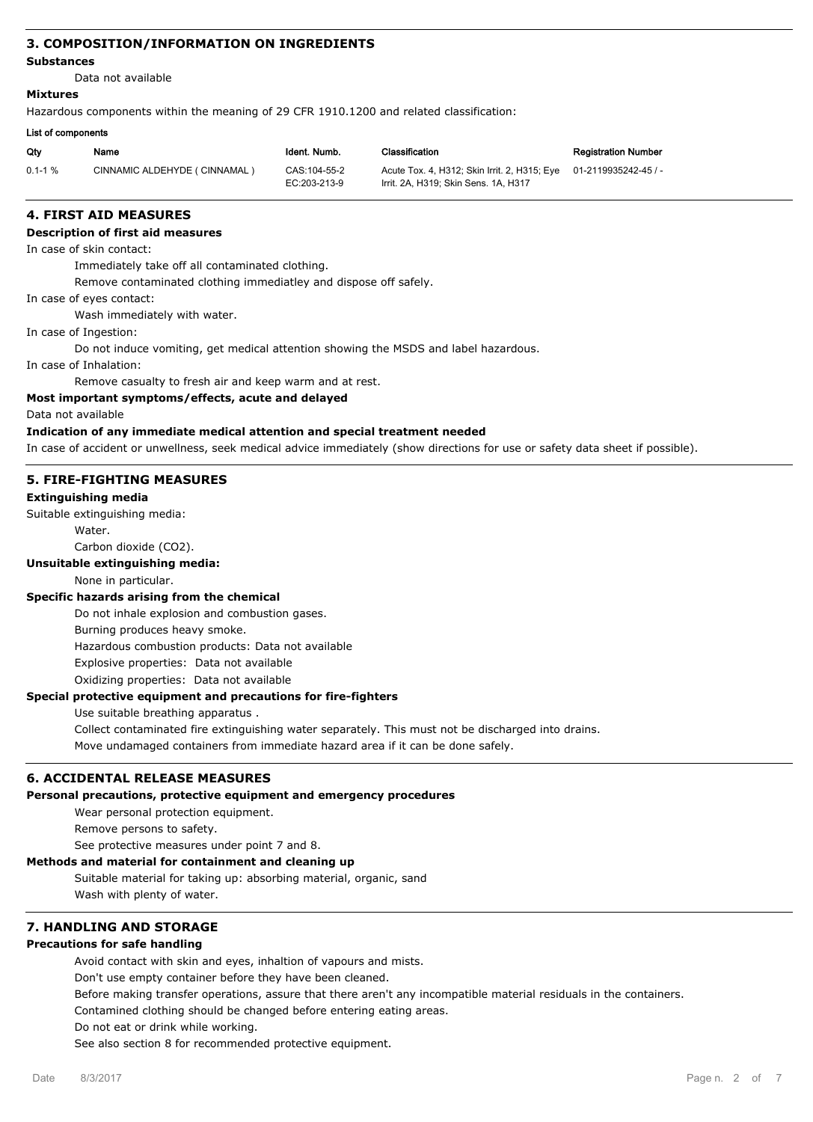# **3. COMPOSITION/INFORMATION ON INGREDIENTS**

#### **Substances**

Data not available

## **Mixtures**

Hazardous components within the meaning of 29 CFR 1910.1200 and related classification:

#### **List of components**

| Qty          | Name                           | Ident. Numb.                 | Classification                                                                                            | <b>Registration Number</b> |
|--------------|--------------------------------|------------------------------|-----------------------------------------------------------------------------------------------------------|----------------------------|
| $0.1 - 1 \%$ | CINNAMIC ALDEHYDE ( CINNAMAL ) | CAS:104-55-2<br>EC:203-213-9 | Acute Tox. 4, H312; Skin Irrit. 2, H315; Eye 01-2119935242-45 / -<br>Irrit, 2A, H319: Skin Sens, 1A, H317 |                            |

# **4. FIRST AID MEASURES**

## **Description of first aid measures**

In case of skin contact:

Immediately take off all contaminated clothing.

Remove contaminated clothing immediatley and dispose off safely.

In case of eyes contact:

Wash immediately with water.

In case of Ingestion:

Do not induce vomiting, get medical attention showing the MSDS and label hazardous.

In case of Inhalation:

Remove casualty to fresh air and keep warm and at rest.

#### **Most important symptoms/effects, acute and delayed**

Data not available

## **Indication of any immediate medical attention and special treatment needed**

In case of accident or unwellness, seek medical advice immediately (show directions for use or safety data sheet if possible).

## **5. FIRE-FIGHTING MEASURES**

#### **Extinguishing media**

Suitable extinguishing media:

Water.

Carbon dioxide (CO2).

# **Unsuitable extinguishing media:**

None in particular.

## **Specific hazards arising from the chemical**

Do not inhale explosion and combustion gases.

Burning produces heavy smoke.

Hazardous combustion products: Data not available

Explosive properties: Data not available

Oxidizing properties: Data not available

## **Special protective equipment and precautions for fire-fighters**

Use suitable breathing apparatus .

Collect contaminated fire extinguishing water separately. This must not be discharged into drains. Move undamaged containers from immediate hazard area if it can be done safely.

## **6. ACCIDENTAL RELEASE MEASURES**

# **Personal precautions, protective equipment and emergency procedures**

Wear personal protection equipment.

Remove persons to safety.

See protective measures under point 7 and 8.

# **Methods and material for containment and cleaning up**

Suitable material for taking up: absorbing material, organic, sand Wash with plenty of water.

# **7. HANDLING AND STORAGE**

# **Precautions for safe handling**

Avoid contact with skin and eyes, inhaltion of vapours and mists.

Don't use empty container before they have been cleaned.

Before making transfer operations, assure that there aren't any incompatible material residuals in the containers.

Contamined clothing should be changed before entering eating areas.

Do not eat or drink while working.

See also section 8 for recommended protective equipment.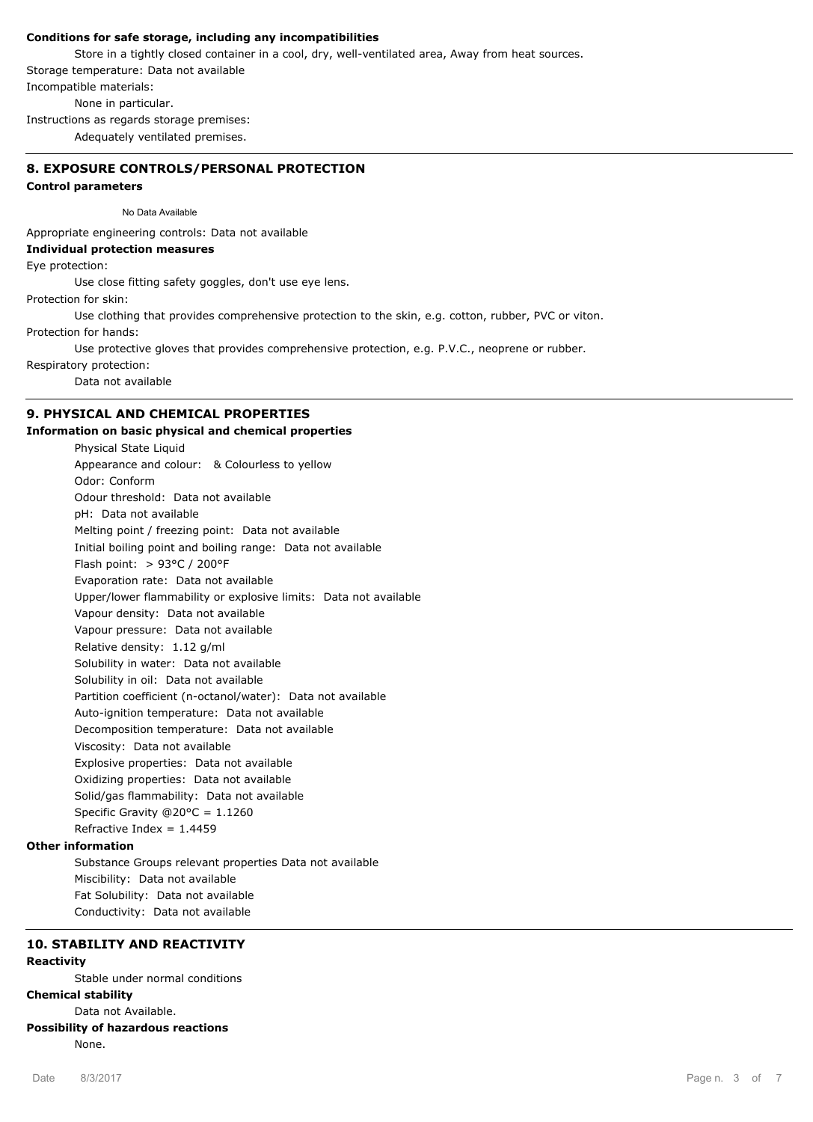## **Conditions for safe storage, including any incompatibilities**

Store in a tightly closed container in a cool, dry, well-ventilated area, Away from heat sources. Storage temperature: Data not available Incompatible materials: None in particular.

Instructions as regards storage premises:

Adequately ventilated premises.

## **8. EXPOSURE CONTROLS/PERSONAL PROTECTION**

## **Control parameters**

No Data Available

Appropriate engineering controls: Data not available

#### **Individual protection measures**

Eye protection:

Use close fitting safety goggles, don't use eye lens.

Protection for skin:

Use clothing that provides comprehensive protection to the skin, e.g. cotton, rubber, PVC or viton.

Protection for hands:

Use protective gloves that provides comprehensive protection, e.g. P.V.C., neoprene or rubber.

Respiratory protection:

Data not available

## **9. PHYSICAL AND CHEMICAL PROPERTIES**

## **Information on basic physical and chemical properties**

Physical State Liquid Appearance and colour: & Colourless to yellow Odor: Conform Odour threshold: Data not available pH: Data not available Melting point / freezing point: Data not available Initial boiling point and boiling range: Data not available Flash point: > 93°C / 200°F Evaporation rate: Data not available Upper/lower flammability or explosive limits: Data not available Vapour density: Data not available Vapour pressure: Data not available Relative density: 1.12 g/ml Solubility in water: Data not available Solubility in oil: Data not available Partition coefficient (n-octanol/water): Data not available Auto-ignition temperature: Data not available Decomposition temperature: Data not available Viscosity: Data not available Explosive properties: Data not available Oxidizing properties: Data not available Solid/gas flammability: Data not available Specific Gravity @20°C = 1.1260 Refractive Index =  $1.4459$ 

# **Other information**

Substance Groups relevant properties Data not available Miscibility: Data not available Fat Solubility: Data not available Conductivity: Data not available

# **10. STABILITY AND REACTIVITY**

# **Reactivity**

Stable under normal conditions

# **Chemical stability**

Data not Available.

# **Possibility of hazardous reactions**

None.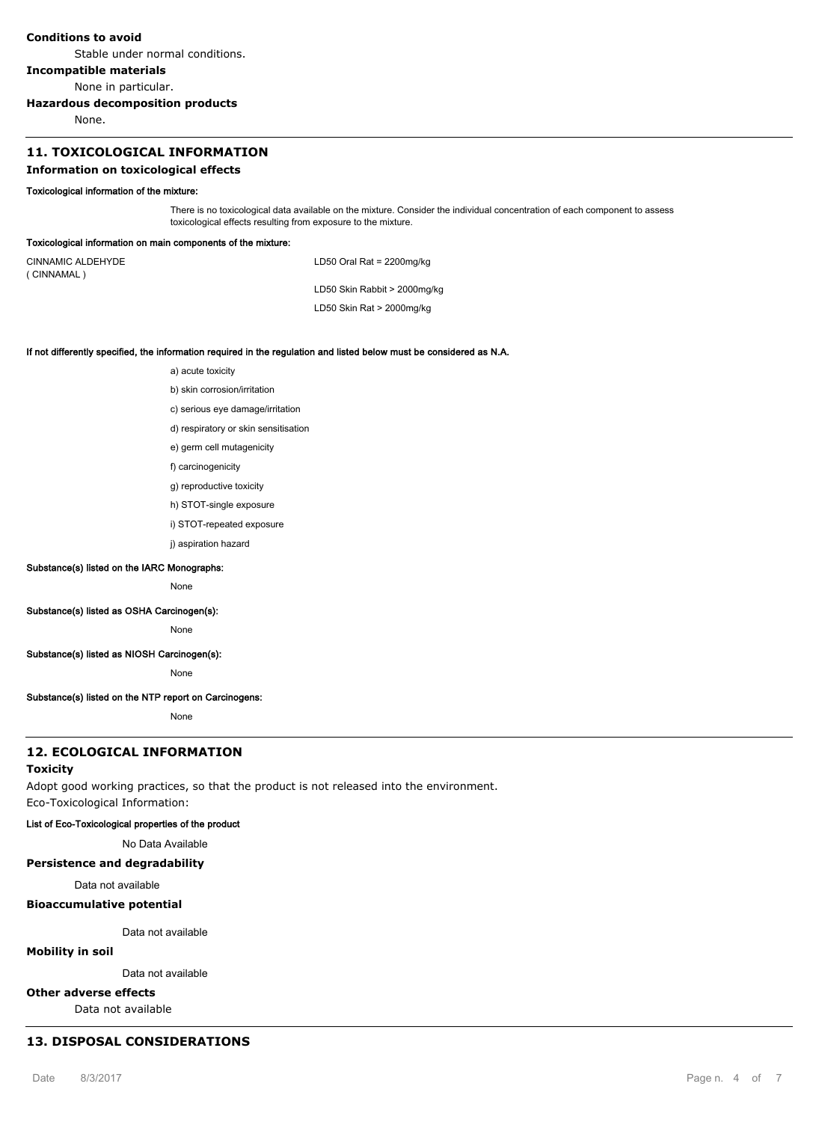#### **Conditions to avoid**

Stable under normal conditions.

## **Incompatible materials**

None in particular.

#### **Hazardous decomposition products**

None.

# **11. TOXICOLOGICAL INFORMATION**

#### **Information on toxicological effects**

#### **Toxicological information of the mixture:**

There is no toxicological data available on the mixture. Consider the individual concentration of each component to assess toxicological effects resulting from exposure to the mixture.

#### **Toxicological information on main components of the mixture:**

CINNAMIC ALDEHYDE ( CINNAMAL )

LD50 Oral Rat = 2200mg/kg

LD50 Skin Rabbit > 2000mg/kg

LD50 Skin Rat > 2000mg/kg

#### **If not differently specified, the information required in the regulation and listed below must be considered as N.A.**

a) acute toxicity

b) skin corrosion/irritation

- c) serious eye damage/irritation
- d) respiratory or skin sensitisation
- e) germ cell mutagenicity
- f) carcinogenicity
- g) reproductive toxicity
- h) STOT-single exposure
- i) STOT-repeated exposure
- i) aspiration hazard

#### **Substance(s) listed on the IARC Monographs:**

None

## **Substance(s) listed as OSHA Carcinogen(s):**

None

## **Substance(s) listed as NIOSH Carcinogen(s):**

None

#### **Substance(s) listed on the NTP report on Carcinogens:**

None

# **12. ECOLOGICAL INFORMATION**

#### **Toxicity**

Adopt good working practices, so that the product is not released into the environment. Eco-Toxicological Information:

#### **List of Eco-Toxicological properties of the product**

No Data Available

#### **Persistence and degradability**

Data not available

## **Bioaccumulative potential**

Data not available

## **Mobility in soil**

Data not available

# **Other adverse effects**

Data not available

# **13. DISPOSAL CONSIDERATIONS**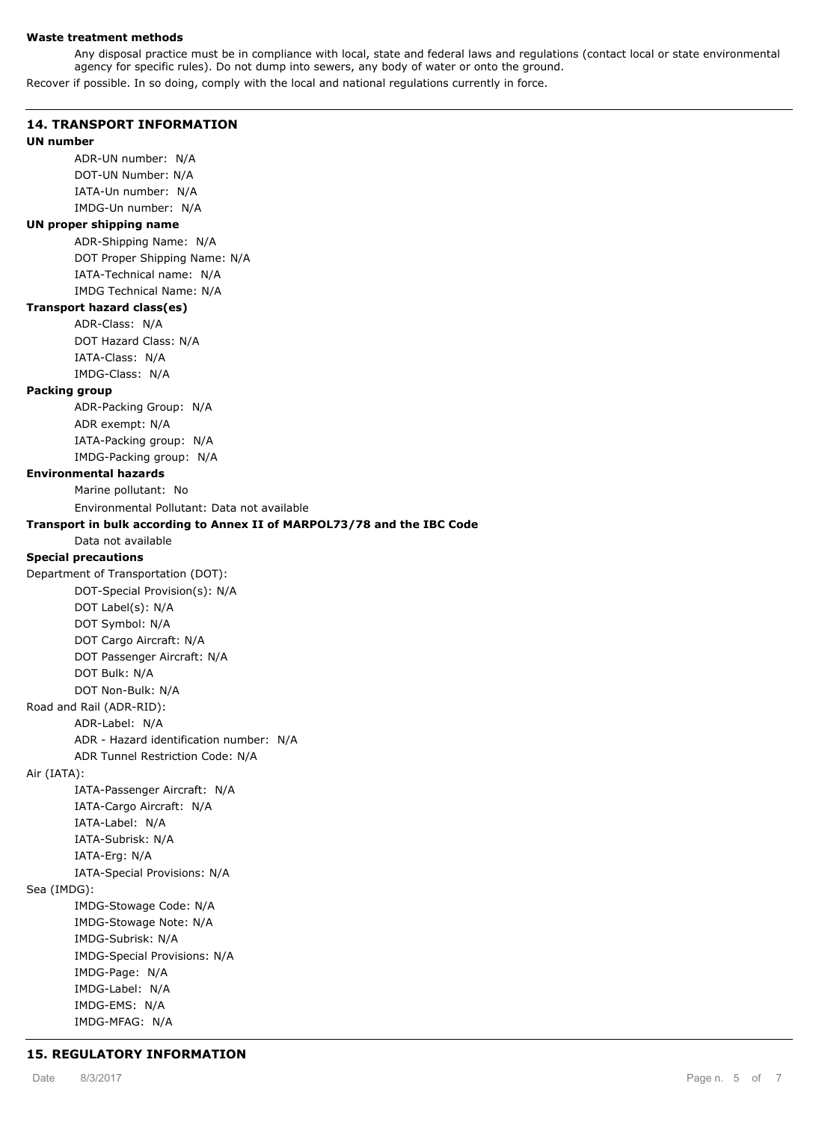#### **Waste treatment methods**

Any disposal practice must be in compliance with local, state and federal laws and regulations (contact local or state environmental agency for specific rules). Do not dump into sewers, any body of water or onto the ground.

Recover if possible. In so doing, comply with the local and national regulations currently in force.

## **14. TRANSPORT INFORMATION**

#### **UN number**

ADR-UN number: N/A DOT-UN Number: N/A IATA-Un number: N/A IMDG-Un number: N/A

## **UN proper shipping name**

ADR-Shipping Name: N/A DOT Proper Shipping Name: N/A IATA-Technical name: N/A IMDG Technical Name: N/A

## **Transport hazard class(es)**

ADR-Class: N/A DOT Hazard Class: N/A IATA-Class: N/A IMDG-Class: N/A

#### **Packing group**

ADR-Packing Group: N/A ADR exempt: N/A IATA-Packing group: N/A IMDG-Packing group: N/A

#### **Environmental hazards**

Marine pollutant: No

Environmental Pollutant: Data not available

## **Transport in bulk according to Annex II of MARPOL73/78 and the IBC Code**

# Data not available

# **Special precautions**

Department of Transportation (DOT): DOT-Special Provision(s): N/A DOT Label(s): N/A DOT Symbol: N/A DOT Cargo Aircraft: N/A DOT Passenger Aircraft: N/A DOT Bulk: N/A DOT Non-Bulk: N/A Road and Rail (ADR-RID): ADR-Label: N/A ADR - Hazard identification number: N/A ADR Tunnel Restriction Code: N/A Air (IATA): IATA-Passenger Aircraft: N/A

IATA-Cargo Aircraft: N/A IATA-Label: N/A IATA-Subrisk: N/A IATA-Erg: N/A IATA-Special Provisions: N/A Sea (IMDG): IMDG-Stowage Code: N/A IMDG-Stowage Note: N/A IMDG-Subrisk: N/A IMDG-Special Provisions: N/A IMDG-Page: N/A IMDG-Label: N/A IMDG-EMS: N/A IMDG-MFAG: N/A

## **15. REGULATORY INFORMATION**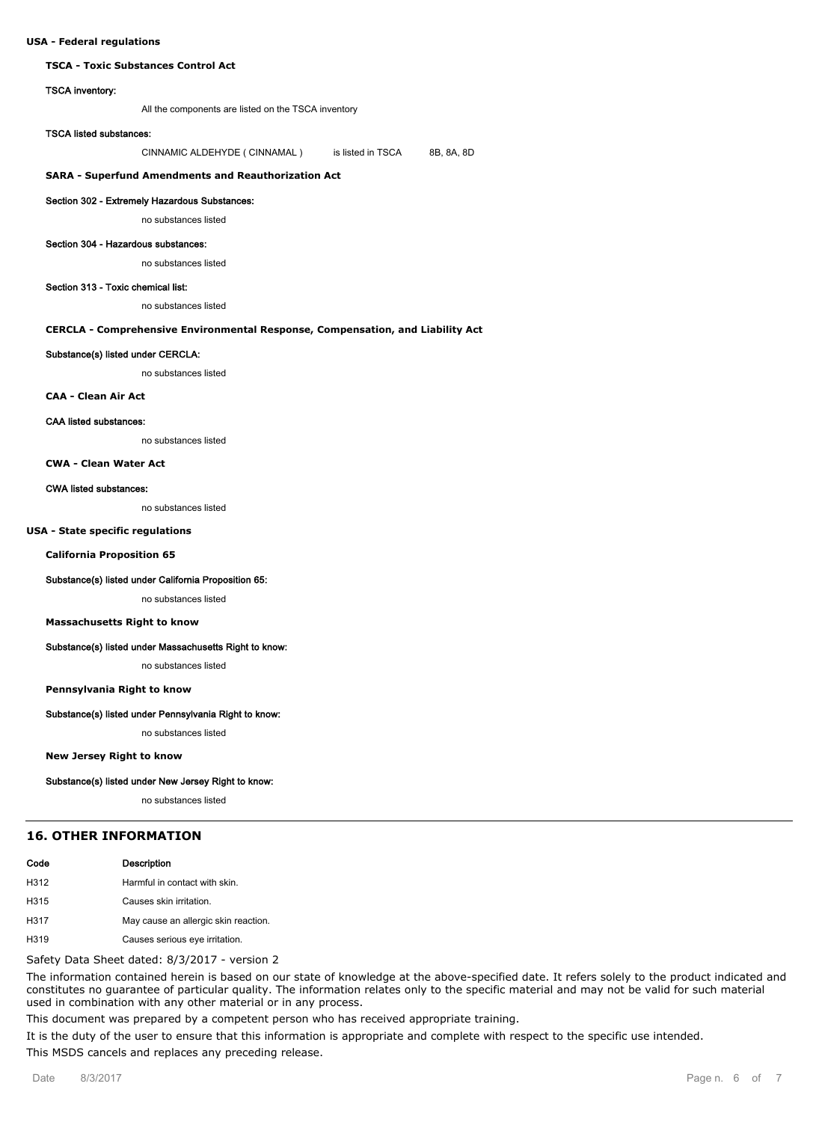#### **USA - Federal regulations**

#### **TSCA - Toxic Substances Control Act**

#### **TSCA inventory:**

All the components are listed on the TSCA inventory

#### **TSCA listed substances:**

CINNAMIC ALDEHYDE ( CINNAMAL ) is listed in TSCA 8B, 8A, 8D

#### **SARA - Superfund Amendments and Reauthorization Act**

#### **Section 302 - Extremely Hazardous Substances:**

no substances listed

#### **Section 304 - Hazardous substances:**

no substances listed

#### **Section 313 - Toxic chemical list:**

no substances listed

#### **CERCLA - Comprehensive Environmental Response, Compensation, and Liability Act**

## **Substance(s) listed under CERCLA:**

no substances listed

#### **CAA - Clean Air Act**

#### **CAA listed substances:**

no substances listed

#### **CWA - Clean Water Act**

#### **CWA listed substances:**

no substances listed

#### **USA - State specific regulations**

**California Proposition 65**

#### **Substance(s) listed under California Proposition 65:**

no substances listed

#### **Massachusetts Right to know**

#### **Substance(s) listed under Massachusetts Right to know:**

no substances listed

#### **Pennsylvania Right to know**

#### **Substance(s) listed under Pennsylvania Right to know:**

no substances listed

**New Jersey Right to know**

#### **Substance(s) listed under New Jersey Right to know:**

no substances listed

#### **16. OTHER INFORMATION**

| Code | <b>Description</b>            |
|------|-------------------------------|
| H312 | Harmful in contact with skin. |
| H315 | Causes skin irritation.       |

- H317 May cause an allergic skin reaction.
- H319 Causes serious eye irritation.

#### Safety Data Sheet dated: 8/3/2017 - version 2

The information contained herein is based on our state of knowledge at the above-specified date. It refers solely to the product indicated and constitutes no guarantee of particular quality. The information relates only to the specific material and may not be valid for such material used in combination with any other material or in any process.

This document was prepared by a competent person who has received appropriate training.

It is the duty of the user to ensure that this information is appropriate and complete with respect to the specific use intended. This MSDS cancels and replaces any preceding release.